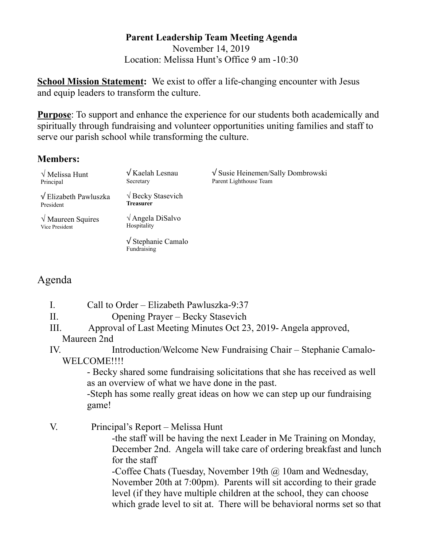#### **Parent Leadership Team Meeting Agenda**  November 14, 2019 Location: Melissa Hunt's Office 9 am -10:30

**School Mission Statement:** We exist to offer a life-changing encounter with Jesus and equip leaders to transform the culture.

**Purpose**: To support and enhance the experience for our students both academically and spiritually through fundraising and volunteer opportunities uniting families and staff to serve our parish school while transforming the culture.

# **Members:**

| $\sqrt{\text{Melissa Hunt}}$<br>Principal        | $\sqrt{K$ aelah Lesnau<br>Secretary              | $\sqrt{\text{S} }$ Susie Heinemen/Sally Dombrowski<br>Parent Lighthouse Team |
|--------------------------------------------------|--------------------------------------------------|------------------------------------------------------------------------------|
| $\sqrt{\text{Elizabeth} Pawluszka}$<br>President | $\sqrt{$ Becky Stasevich<br><b>Treasurer</b>     |                                                                              |
| $\sqrt{M}$ Maureen Squires<br>Vice President     | $\sqrt{\text{Angle}}$ DiSalvo<br>Hospitality     |                                                                              |
|                                                  | $\sqrt{\text{Stephanie} }$ Camalo<br>Fundraising |                                                                              |

# Agenda

- I. Call to Order Elizabeth Pawluszka-9:37
- II. Opening Prayer Becky Stasevich
- III. Approval of Last Meeting Minutes Oct 23, 2019- Angela approved,
- Maureen 2nd

IV. Introduction/Welcome New Fundraising Chair – Stephanie Camalo-WELCOME!!!!

 - Becky shared some fundraising solicitations that she has received as well as an overview of what we have done in the past.

 -Steph has some really great ideas on how we can step up our fundraising game!

# V. Principal's Report – Melissa Hunt

 -the staff will be having the next Leader in Me Training on Monday, December 2nd. Angela will take care of ordering breakfast and lunch for the staff

 -Coffee Chats (Tuesday, November 19th @ 10am and Wednesday, November 20th at 7:00pm). Parents will sit according to their grade level (if they have multiple children at the school, they can choose which grade level to sit at. There will be behavioral norms set so that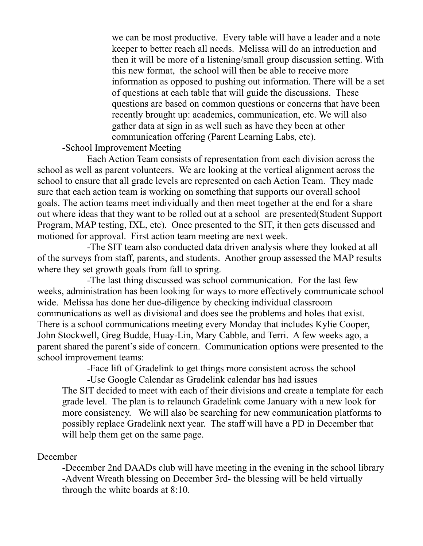we can be most productive. Every table will have a leader and a note keeper to better reach all needs. Melissa will do an introduction and then it will be more of a listening/small group discussion setting. With this new format, the school will then be able to receive more information as opposed to pushing out information. There will be a set of questions at each table that will guide the discussions. These questions are based on common questions or concerns that have been recently brought up: academics, communication, etc. We will also gather data at sign in as well such as have they been at other communication offering (Parent Learning Labs, etc).

### -School Improvement Meeting

 Each Action Team consists of representation from each division across the school as well as parent volunteers. We are looking at the vertical alignment across the school to ensure that all grade levels are represented on each Action Team. They made sure that each action team is working on something that supports our overall school goals. The action teams meet individually and then meet together at the end for a share out where ideas that they want to be rolled out at a school are presented(Student Support Program, MAP testing, IXL, etc). Once presented to the SIT, it then gets discussed and motioned for approval. First action team meeting are next week.

 -The SIT team also conducted data driven analysis where they looked at all of the surveys from staff, parents, and students. Another group assessed the MAP results where they set growth goals from fall to spring.

 -The last thing discussed was school communication. For the last few weeks, administration has been looking for ways to more effectively communicate school wide. Melissa has done her due-diligence by checking individual classroom communications as well as divisional and does see the problems and holes that exist. There is a school communications meeting every Monday that includes Kylie Cooper, John Stockwell, Greg Budde, Huay-Lin, Mary Cabble, and Terri. A few weeks ago, a parent shared the parent's side of concern. Communication options were presented to the school improvement teams:

-Face lift of Gradelink to get things more consistent across the school

 -Use Google Calendar as Gradelink calendar has had issues The SIT decided to meet with each of their divisions and create a template for each grade level. The plan is to relaunch Gradelink come January with a new look for more consistency. We will also be searching for new communication platforms to possibly replace Gradelink next year. The staff will have a PD in December that will help them get on the same page.

## December

 -December 2nd DAADs club will have meeting in the evening in the school library -Advent Wreath blessing on December 3rd- the blessing will be held virtually through the white boards at 8:10.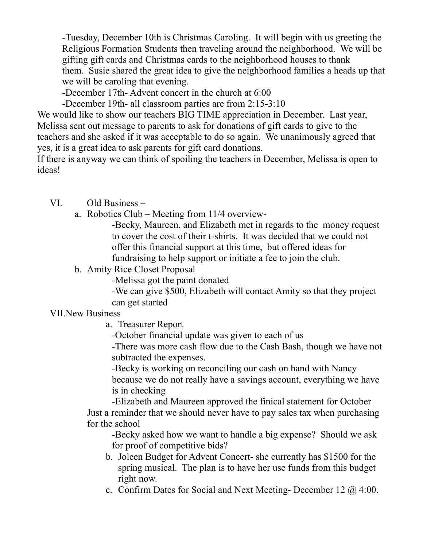-Tuesday, December 10th is Christmas Caroling. It will begin with us greeting the Religious Formation Students then traveling around the neighborhood. We will be gifting gift cards and Christmas cards to the neighborhood houses to thank them. Susie shared the great idea to give the neighborhood families a heads up that we will be caroling that evening.

-December 17th- Advent concert in the church at 6:00

-December 19th- all classroom parties are from 2:15-3:10

We would like to show our teachers BIG TIME appreciation in December. Last year, Melissa sent out message to parents to ask for donations of gift cards to give to the teachers and she asked if it was acceptable to do so again. We unanimously agreed that yes, it is a great idea to ask parents for gift card donations.

If there is anyway we can think of spoiling the teachers in December, Melissa is open to ideas!

VI. Old Business –

a. Robotics Club – Meeting from 11/4 overview-

 -Becky, Maureen, and Elizabeth met in regards to the money request to cover the cost of their t-shirts. It was decided that we could not offer this financial support at this time, but offered ideas for fundraising to help support or initiate a fee to join the club.

b. Amity Rice Closet Proposal

-Melissa got the paint donated

 -We can give \$500, Elizabeth will contact Amity so that they project can get started

## VII.New Business

a. Treasurer Report

-October financial update was given to each of us

 -There was more cash flow due to the Cash Bash, though we have not subtracted the expenses.

 -Becky is working on reconciling our cash on hand with Nancy because we do not really have a savings account, everything we have is in checking

 -Elizabeth and Maureen approved the finical statement for October Just a reminder that we should never have to pay sales tax when purchasing for the school

 -Becky asked how we want to handle a big expense? Should we ask for proof of competitive bids?

- b. Joleen Budget for Advent Concert- she currently has \$1500 for the spring musical. The plan is to have her use funds from this budget right now.
- c. Confirm Dates for Social and Next Meeting- December 12 @ 4:00.